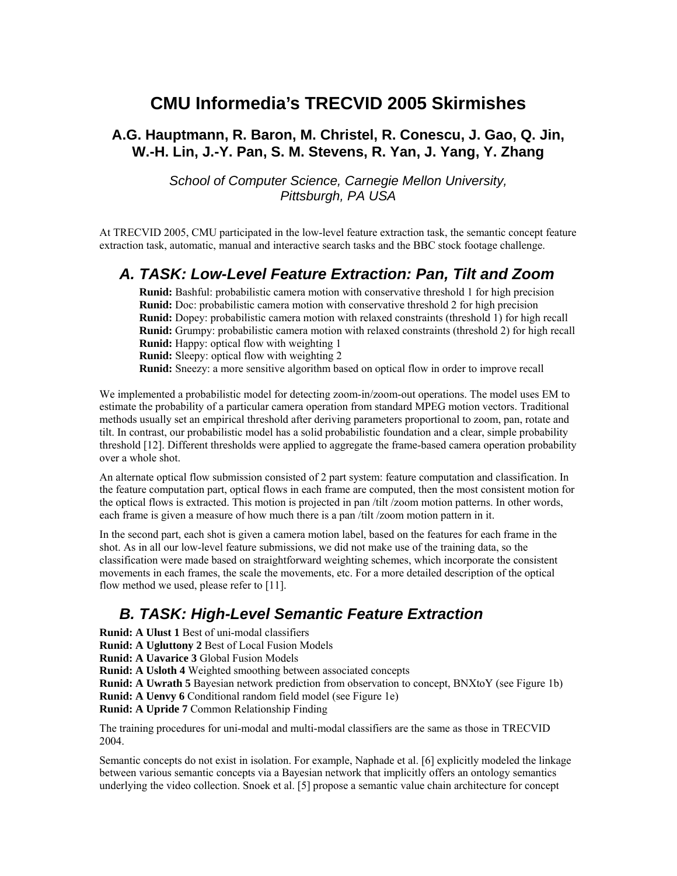# **CMU Informedia's TRECVID 2005 Skirmishes**

### **A.G. Hauptmann, R. Baron, M. Christel, R. Conescu, J. Gao, Q. Jin, W.-H. Lin, J.-Y. Pan, S. M. Stevens, R. Yan, J. Yang, Y. Zhang**

*School of Computer Science, Carnegie Mellon University, Pittsburgh, PA USA* 

At TRECVID 2005, CMU participated in the low-level feature extraction task, the semantic concept feature extraction task, automatic, manual and interactive search tasks and the BBC stock footage challenge.

### *A. TASK: Low-Level Feature Extraction: Pan, Tilt and Zoom*

**Runid:** Bashful: probabilistic camera motion with conservative threshold 1 for high precision **Runid:** Doc: probabilistic camera motion with conservative threshold 2 for high precision **Runid:** Dopey: probabilistic camera motion with relaxed constraints (threshold 1) for high recall **Runid:** Grumpy: probabilistic camera motion with relaxed constraints (threshold 2) for high recall **Runid:** Happy: optical flow with weighting 1

**Runid:** Sleepy: optical flow with weighting 2

**Runid:** Sneezy: a more sensitive algorithm based on optical flow in order to improve recall

We implemented a probabilistic model for detecting zoom-in/zoom-out operations. The model uses EM to estimate the probability of a particular camera operation from standard MPEG motion vectors. Traditional methods usually set an empirical threshold after deriving parameters proportional to zoom, pan, rotate and tilt. In contrast, our probabilistic model has a solid probabilistic foundation and a clear, simple probability threshold [12]. Different thresholds were applied to aggregate the frame-based camera operation probability over a whole shot.

An alternate optical flow submission consisted of 2 part system: feature computation and classification. In the feature computation part, optical flows in each frame are computed, then the most consistent motion for the optical flows is extracted. This motion is projected in pan /tilt /zoom motion patterns. In other words, each frame is given a measure of how much there is a pan /tilt /zoom motion pattern in it.

In the second part, each shot is given a camera motion label, based on the features for each frame in the shot. As in all our low-level feature submissions, we did not make use of the training data, so the classification were made based on straightforward weighting schemes, which incorporate the consistent movements in each frames, the scale the movements, etc. For a more detailed description of the optical flow method we used, please refer to [11].

# *B. TASK: High-Level Semantic Feature Extraction*

**Runid: A Ulust 1** Best of uni-modal classifiers

**Runid: A Ugluttony 2** Best of Local Fusion Models

**Runid: A Uavarice 3** Global Fusion Models

**Runid: A Usloth 4** Weighted smoothing between associated concepts

**Runid: A Uwrath 5** Bayesian network prediction from observation to concept, BNXtoY (see Figure 1b) **Runid: A Uenvy 6** Conditional random field model (see Figure 1e)

**Runid: A Upride 7** Common Relationship Finding

The training procedures for uni-modal and multi-modal classifiers are the same as those in TRECVID 2004.

Semantic concepts do not exist in isolation. For example, Naphade et al. [6] explicitly modeled the linkage between various semantic concepts via a Bayesian network that implicitly offers an ontology semantics underlying the video collection. Snoek et al. [5] propose a semantic value chain architecture for concept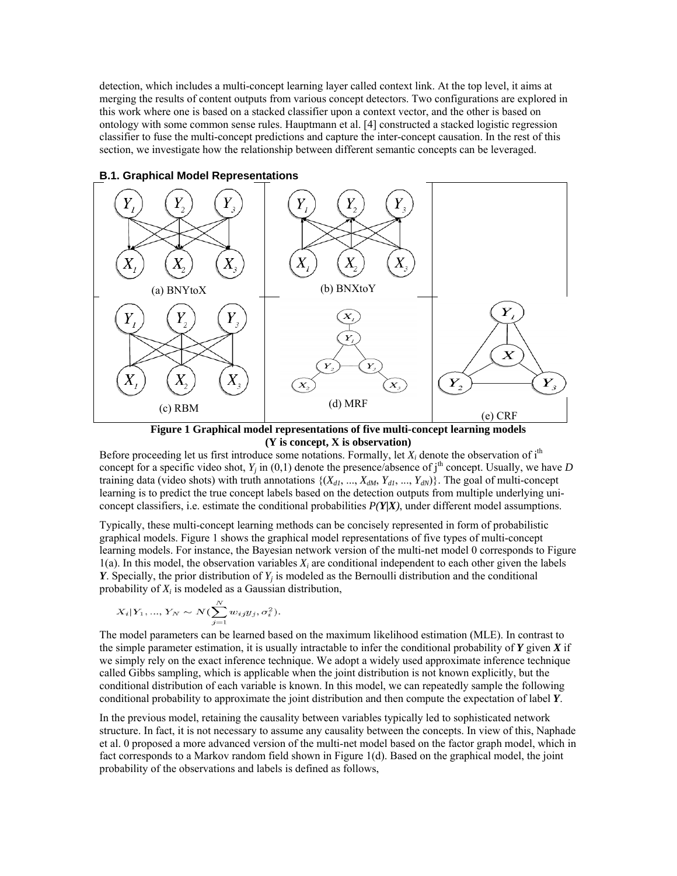detection, which includes a multi-concept learning layer called context link. At the top level, it aims at merging the results of content outputs from various concept detectors. Two configurations are explored in this work where one is based on a stacked classifier upon a context vector, and the other is based on ontology with some common sense rules. Hauptmann et al. [4] constructed a stacked logistic regression classifier to fuse the multi-concept predictions and capture the inter-concept causation. In the rest of this section, we investigate how the relationship between different semantic concepts can be leveraged.



**B.1. Graphical Model Representations** 

**Figure 1 Graphical model representations of five multi-concept learning models (Y is concept, X is observation)** 

Before proceeding let us first introduce some notations. Formally, let  $X_i$  denote the observation of i<sup>th</sup> concept for a specific video shot,  $Y_j$  in (0,1) denote the presence/absence of j<sup>th</sup> concept. Usually, we have *D* training data (video shots) with truth annotations  $\{(X_{d1}, ..., X_{dM}, Y_{d1}, ..., Y_{dN})\}$ . The goal of multi-concept learning is to predict the true concept labels based on the detection outputs from multiple underlying uniconcept classifiers, i.e. estimate the conditional probabilities  $P(Y|X)$ , under different model assumptions.

Typically, these multi-concept learning methods can be concisely represented in form of probabilistic graphical models. Figure 1 shows the graphical model representations of five types of multi-concept learning models. For instance, the Bayesian network version of the multi-net model 0 corresponds to Figure  $1(a)$ . In this model, the observation variables  $X_i$  are conditional independent to each other given the labels *Y*. Specially, the prior distribution of  $Y_i$  is modeled as the Bernoulli distribution and the conditional probability of *Xi* is modeled as a Gaussian distribution,

$$
X_i|Y_1, ..., Y_N \sim N(\sum_{j=1}^N w_{ij}y_j, \sigma_i^2).
$$

The model parameters can be learned based on the maximum likelihood estimation (MLE). In contrast to the simple parameter estimation, it is usually intractable to infer the conditional probability of  $Y$  given  $X$  if we simply rely on the exact inference technique. We adopt a widely used approximate inference technique called Gibbs sampling, which is applicable when the joint distribution is not known explicitly, but the conditional distribution of each variable is known. In this model, we can repeatedly sample the following conditional probability to approximate the joint distribution and then compute the expectation of label *Y*.

In the previous model, retaining the causality between variables typically led to sophisticated network structure. In fact, it is not necessary to assume any causality between the concepts. In view of this, Naphade et al. 0 proposed a more advanced version of the multi-net model based on the factor graph model, which in fact corresponds to a Markov random field shown in Figure 1(d). Based on the graphical model, the joint probability of the observations and labels is defined as follows,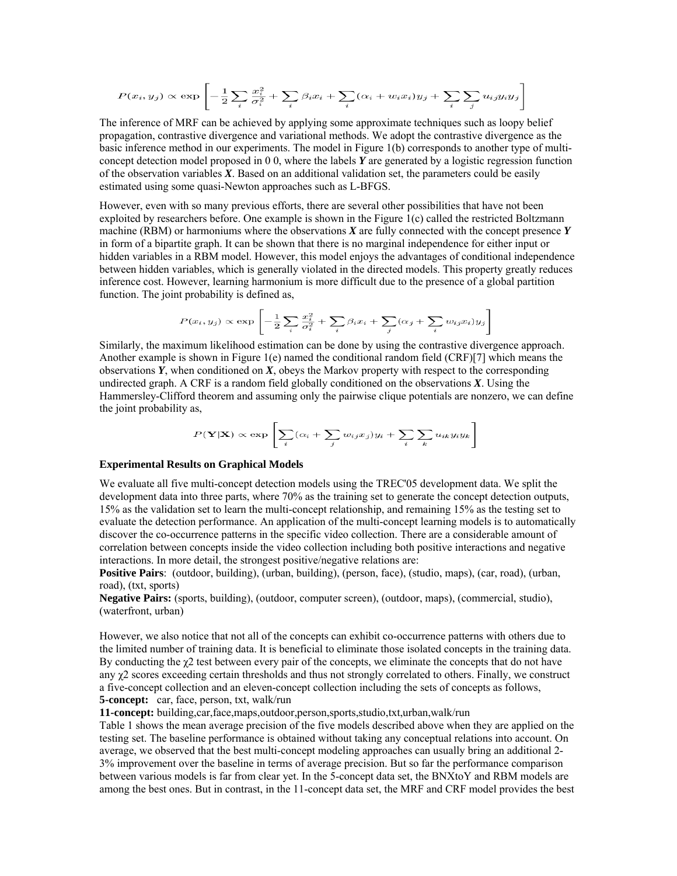$$
P(x_i, y_j) \propto \exp\left[-\frac{1}{2}\sum_i \frac{x_i^2}{\sigma_i^2} + \sum_i \beta_i x_i + \sum_i (\alpha_i + w_i x_i)y_j + \sum_i \sum_j u_{ij}y_i y_j\right]
$$

 The inference of MRF can be achieved by applying some approximate techniques such as loopy belief propagation, contrastive divergence and variational methods. We adopt the contrastive divergence as the basic inference method in our experiments. The model in Figure 1(b) corresponds to another type of multiconcept detection model proposed in 0 0, where the labels *Y* are generated by a logistic regression function of the observation variables *X*. Based on an additional validation set, the parameters could be easily estimated using some quasi-Newton approaches such as L-BFGS.

However, even with so many previous efforts, there are several other possibilities that have not been exploited by researchers before. One example is shown in the Figure 1(c) called the restricted Boltzmann machine (RBM) or harmoniums where the observations *X* are fully connected with the concept presence *Y* in form of a bipartite graph. It can be shown that there is no marginal independence for either input or hidden variables in a RBM model. However, this model enjoys the advantages of conditional independence between hidden variables, which is generally violated in the directed models. This property greatly reduces inference cost. However, learning harmonium is more difficult due to the presence of a global partition function. The joint probability is defined as,

$$
P(x_i, y_j) \propto \exp \left[ -\frac{1}{2} \sum_i \frac{x_i^2}{\sigma_i^2} + \sum_i \beta_i x_i + \sum_j (\alpha_j + \sum_i w_{ij} x_i) y_j \right]
$$

Similarly, the maximum likelihood estimation can be done by using the contrastive divergence approach. Another example is shown in Figure 1(e) named the conditional random field (CRF)[7] which means the observations *Y*, when conditioned on *X*, obeys the Markov property with respect to the corresponding undirected graph. A CRF is a random field globally conditioned on the observations *X*. Using the Hammersley-Clifford theorem and assuming only the pairwise clique potentials are nonzero, we can define the joint probability as,

$$
P(\mathbf{Y}|\mathbf{X}) \propto \exp \left[ \sum_{i} (\alpha_i + \sum_{j} w_{ij} x_j) y_i + \sum_{i} \sum_{k} u_{ik} y_i y_k \right]
$$

#### **Experimental Results on Graphical Models**

We evaluate all five multi-concept detection models using the TREC'05 development data. We split the development data into three parts, where 70% as the training set to generate the concept detection outputs, 15% as the validation set to learn the multi-concept relationship, and remaining 15% as the testing set to evaluate the detection performance. An application of the multi-concept learning models is to automatically discover the co-occurrence patterns in the specific video collection. There are a considerable amount of correlation between concepts inside the video collection including both positive interactions and negative interactions. In more detail, the strongest positive/negative relations are:

**Positive Pairs**: (outdoor, building), (urban, building), (person, face), (studio, maps), (car, road), (urban, road), (txt, sports)

**Negative Pairs:** (sports, building), (outdoor, computer screen), (outdoor, maps), (commercial, studio), (waterfront, urban)

However, we also notice that not all of the concepts can exhibit co-occurrence patterns with others due to the limited number of training data. It is beneficial to eliminate those isolated concepts in the training data. By conducting the  $\chi$ 2 test between every pair of the concepts, we eliminate the concepts that do not have any χ2 scores exceeding certain thresholds and thus not strongly correlated to others. Finally, we construct a five-concept collection and an eleven-concept collection including the sets of concepts as follows, **5-concept:** car, face, person, txt, walk/run

**11-concept:** building,car,face,maps,outdoor,person,sports,studio,txt,urban,walk/run

Table 1 shows the mean average precision of the five models described above when they are applied on the testing set. The baseline performance is obtained without taking any conceptual relations into account. On average, we observed that the best multi-concept modeling approaches can usually bring an additional 2- 3% improvement over the baseline in terms of average precision. But so far the performance comparison between various models is far from clear yet. In the 5-concept data set, the BNXtoY and RBM models are among the best ones. But in contrast, in the 11-concept data set, the MRF and CRF model provides the best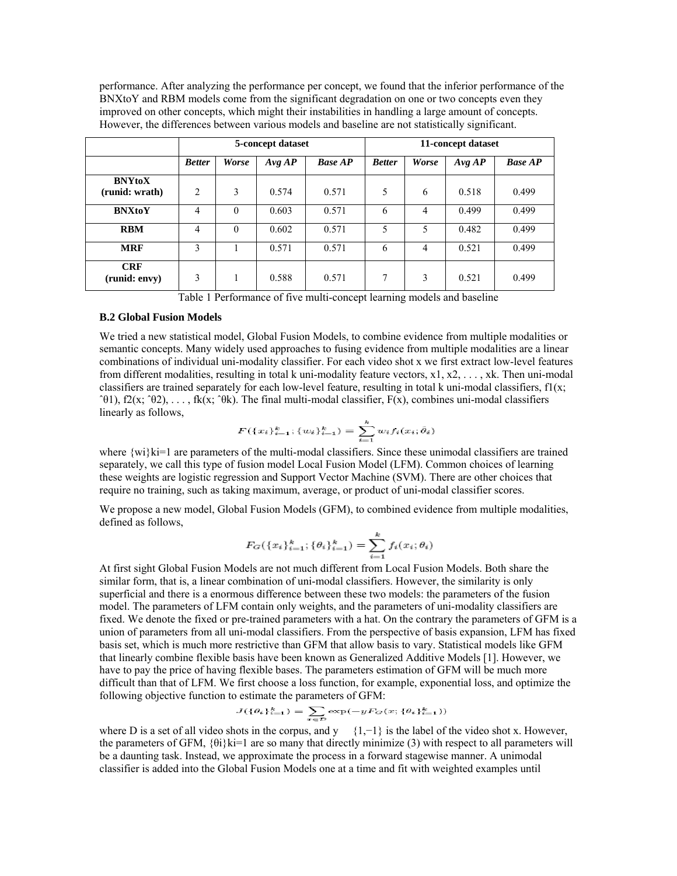performance. After analyzing the performance per concept, we found that the inferior performance of the BNXtoY and RBM models come from the significant degradation on one or two concepts even they improved on other concepts, which might their instabilities in handling a large amount of concepts. However, the differences between various models and baseline are not statistically significant.

|                                 |                |              | 5-concept dataset |                | 11-concept dataset |                |        |                |
|---------------------------------|----------------|--------------|-------------------|----------------|--------------------|----------------|--------|----------------|
|                                 | <b>Better</b>  | <b>Worse</b> | Avg AP            | <b>Base AP</b> | <b>Better</b>      | <b>Worse</b>   | Avg AP | <b>Base AP</b> |
| <b>BNYtoX</b><br>(runid: wrath) | $\overline{c}$ | 3            | 0.574             | 0.571          | 5                  | 6              | 0.518  | 0.499          |
| <b>BNXtoY</b>                   | 4              | $\theta$     | 0.603             | 0.571          | 6                  | $\overline{4}$ | 0.499  | 0.499          |
| <b>RBM</b>                      | 4              | $\Omega$     | 0.602             | 0.571          | 5                  | 5              | 0.482  | 0.499          |
| <b>MRF</b>                      | 3              |              | 0.571             | 0.571          | 6                  | $\overline{4}$ | 0.521  | 0.499          |
| <b>CRF</b><br>(runid: envy)     | 3              |              | 0.588             | 0.571          | 7                  | 3              | 0.521  | 0.499          |

Table 1 Performance of five multi-concept learning models and baseline

#### **B.2 Global Fusion Models**

We tried a new statistical model, Global Fusion Models, to combine evidence from multiple modalities or semantic concepts. Many widely used approaches to fusing evidence from multiple modalities are a linear combinations of individual uni-modality classifier. For each video shot x we first extract low-level features from different modalities, resulting in total k uni-modality feature vectors,  $x1, x2, \ldots, xk$ . Then uni-modal classifiers are trained separately for each low-level feature, resulting in total k uni-modal classifiers,  $f(x;$  $\hat{P}(t)$ , f2(x;  $\hat{P}(t)$ , ..., fk(x;  $\hat{P}(t)$ ). The final multi-modal classifier,  $F(x)$ , combines uni-modal classifiers linearly as follows,

$$
F(\{x_i\}_{i=1}^k; \{w_i\}_{i=1}^k) = \sum_{i=1}^k w_i f_i(x_i; \hat{\theta}_i)
$$

where {wi}ki=1 are parameters of the multi-modal classifiers. Since these unimodal classifiers are trained separately, we call this type of fusion model Local Fusion Model (LFM). Common choices of learning these weights are logistic regression and Support Vector Machine (SVM). There are other choices that require no training, such as taking maximum, average, or product of uni-modal classifier scores.

We propose a new model, Global Fusion Models (GFM), to combined evidence from multiple modalities, defined as follows,

$$
F_G(\{x_i\}_{i=1}^k; \{\theta_i\}_{i=1}^k) = \sum_{i=1}^k f_i(x_i; \theta_i)
$$

At first sight Global Fusion Models are not much different from Local Fusion Models. Both share the similar form, that is, a linear combination of uni-modal classifiers. However, the similarity is only superficial and there is a enormous difference between these two models: the parameters of the fusion model. The parameters of LFM contain only weights, and the parameters of uni-modality classifiers are fixed. We denote the fixed or pre-trained parameters with a hat. On the contrary the parameters of GFM is a union of parameters from all uni-modal classifiers. From the perspective of basis expansion, LFM has fixed basis set, which is much more restrictive than GFM that allow basis to vary. Statistical models like GFM that linearly combine flexible basis have been known as Generalized Additive Models [1]. However, we have to pay the price of having flexible bases. The parameters estimation of GFM will be much more difficult than that of LFM. We first choose a loss function, for example, exponential loss, and optimize the following objective function to estimate the parameters of GFM:

$$
J(\{\theta_i\}_{i=1}^k)=\sum_{x\in\mathcal{D}}\exp(-yF_G(x;\{\theta_i\}_{i=1}^k))
$$

where D is a set of all video shots in the corpus, and y  $\{1,-1\}$  is the label of the video shot x. However, the parameters of GFM, {θi}ki=1 are so many that directly minimize (3) with respect to all parameters will be a daunting task. Instead, we approximate the process in a forward stagewise manner. A unimodal classifier is added into the Global Fusion Models one at a time and fit with weighted examples until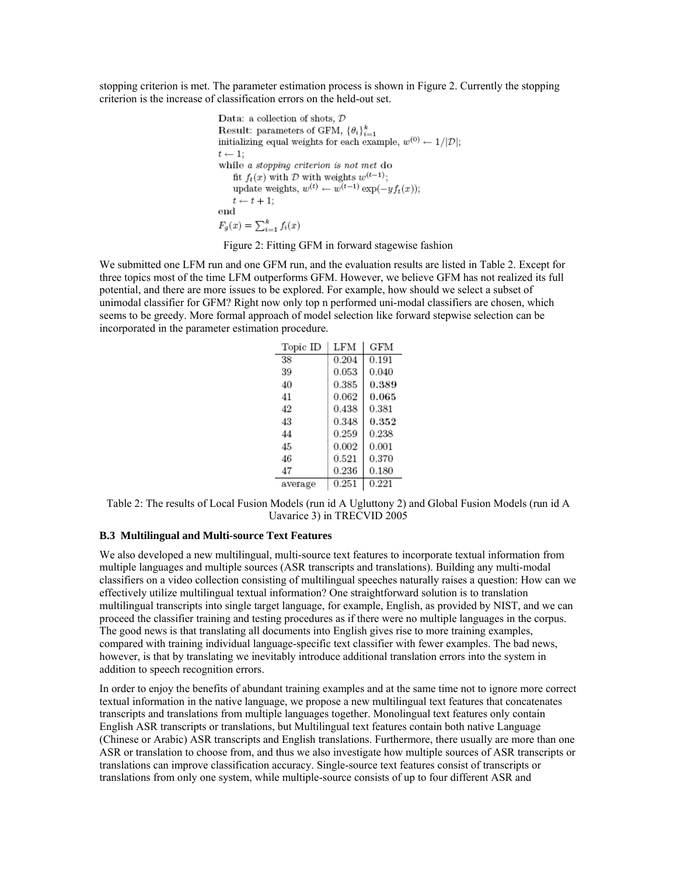stopping criterion is met. The parameter estimation process is shown in Figure 2. Currently the stopping criterion is the increase of classification errors on the held-out set.

```
Data: a collection of shots, DResult: parameters of GFM, \{\theta_i\}_{i=1}^kinitializing equal weights for each example, w^{(0)} \leftarrow 1/|\mathcal{D}|;
t \leftarrow 1;
while a stopping criterion is not met do
    fit f_t(x) with D with weights w^{(t-1)};
    update weights, w^{(t)} \leftarrow w^{(t-1)} \exp(-y f_t(x));t \leftarrow t + 1;
_{\rm end}F_g(x) = \sum_{i=1}^{k} f_i(x)
```
Figure 2: Fitting GFM in forward stagewise fashion

We submitted one LFM run and one GFM run, and the evaluation results are listed in Table 2. Except for three topics most of the time LFM outperforms GFM. However, we believe GFM has not realized its full potential, and there are more issues to be explored. For example, how should we select a subset of unimodal classifier for GFM? Right now only top n performed uni-modal classifiers are chosen, which seems to be greedy. More formal approach of model selection like forward stepwise selection can be incorporated in the parameter estimation procedure.

| Topic ID | LFM        | GFM        |
|----------|------------|------------|
| 38       | 0.204      | 0.191      |
| 39       | 0.053      | 0.040      |
| 40       | 0.385      | 0.389      |
| 41       | $_{0.062}$ | 0.065      |
| 42       | 0.438      | 0.381      |
| 43       | 0.348      | $_{0.352}$ |
| 44       | 0.259      | 0.238      |
| 45       | 0.002      | 0.001      |
| 46       | 0.521      | 0.370      |
| 47       | 0.236      | 0.180      |
| average  | 0.251      | 0.221      |

Table 2: The results of Local Fusion Models (run id A Ugluttony 2) and Global Fusion Models (run id A Uavarice 3) in TRECVID 2005

### **B.3 Multilingual and Multi-source Text Features**

We also developed a new multilingual, multi-source text features to incorporate textual information from multiple languages and multiple sources (ASR transcripts and translations). Building any multi-modal classifiers on a video collection consisting of multilingual speeches naturally raises a question: How can we effectively utilize multilingual textual information? One straightforward solution is to translation multilingual transcripts into single target language, for example, English, as provided by NIST, and we can proceed the classifier training and testing procedures as if there were no multiple languages in the corpus. The good news is that translating all documents into English gives rise to more training examples, compared with training individual language-specific text classifier with fewer examples. The bad news, however, is that by translating we inevitably introduce additional translation errors into the system in addition to speech recognition errors.

In order to enjoy the benefits of abundant training examples and at the same time not to ignore more correct textual information in the native language, we propose a new multilingual text features that concatenates transcripts and translations from multiple languages together. Monolingual text features only contain English ASR transcripts or translations, but Multilingual text features contain both native Language (Chinese or Arabic) ASR transcripts and English translations. Furthermore, there usually are more than one ASR or translation to choose from, and thus we also investigate how multiple sources of ASR transcripts or translations can improve classification accuracy. Single-source text features consist of transcripts or translations from only one system, while multiple-source consists of up to four different ASR and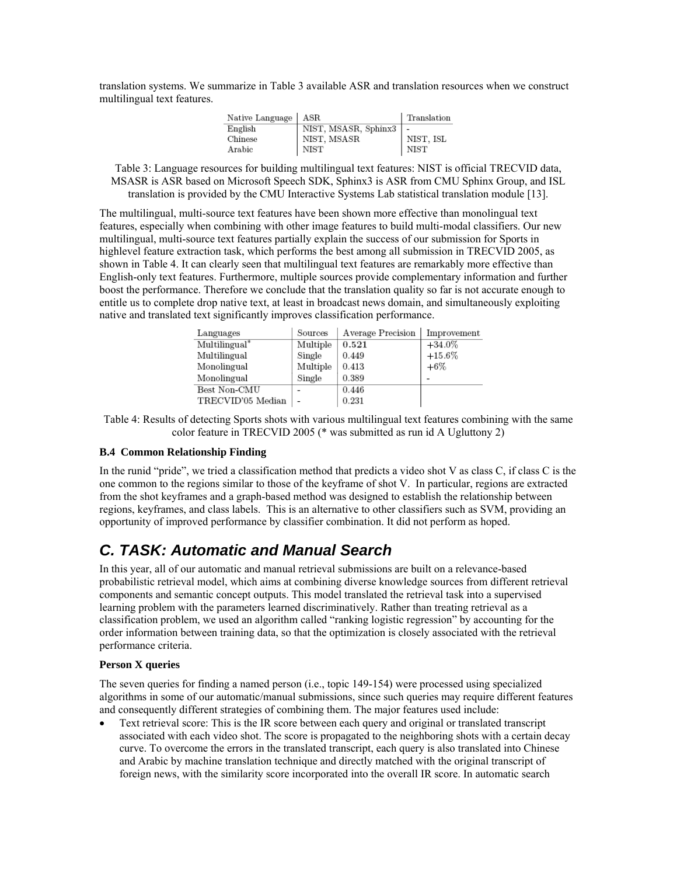translation systems. We summarize in Table 3 available ASR and translation resources when we construct multilingual text features.

| Native Language   ASR |                                     | Translation |
|-----------------------|-------------------------------------|-------------|
| English               | NIST, MSASR, Sphinx3<br>NIST, MSASR |             |
| Chinese               |                                     | NIST. ISL   |
| Arabic                | NIST                                | <b>NIST</b> |

Table 3: Language resources for building multilingual text features: NIST is official TRECVID data, MSASR is ASR based on Microsoft Speech SDK, Sphinx3 is ASR from CMU Sphinx Group, and ISL translation is provided by the CMU Interactive Systems Lab statistical translation module [13].

The multilingual, multi-source text features have been shown more effective than monolingual text features, especially when combining with other image features to build multi-modal classifiers. Our new multilingual, multi-source text features partially explain the success of our submission for Sports in highlevel feature extraction task, which performs the best among all submission in TRECVID 2005, as shown in Table 4. It can clearly seen that multilingual text features are remarkably more effective than English-only text features. Furthermore, multiple sources provide complementary information and further boost the performance. Therefore we conclude that the translation quality so far is not accurate enough to entitle us to complete drop native text, at least in broadcast news domain, and simultaneously exploiting native and translated text significantly improves classification performance.

| Languages         | Sources        | Average Precision | Improvement |
|-------------------|----------------|-------------------|-------------|
| Multilingual*     | Multiple       | 0.521             | $+34.0\%$   |
| Multilingual      | Single         | 0.449             | $+15.6\%$   |
| Monolingual       | Multiple       | 0.413             | $+6\%$      |
| Monolingual       | Single         | 0.389             |             |
| Best Non-CMU      |                | 0.446             |             |
| TRECVID'05 Median | $\overline{a}$ | 0.231             |             |

Table 4: Results of detecting Sports shots with various multilingual text features combining with the same color feature in TRECVID 2005 (\* was submitted as run id A Ugluttony 2)

#### **B.4 Common Relationship Finding**

In the runid "pride", we tried a classification method that predicts a video shot V as class C, if class C is the one common to the regions similar to those of the keyframe of shot V. In particular, regions are extracted from the shot keyframes and a graph-based method was designed to establish the relationship between regions, keyframes, and class labels. This is an alternative to other classifiers such as SVM, providing an opportunity of improved performance by classifier combination. It did not perform as hoped.

## *C. TASK: Automatic and Manual Search*

In this year, all of our automatic and manual retrieval submissions are built on a relevance-based probabilistic retrieval model, which aims at combining diverse knowledge sources from different retrieval components and semantic concept outputs. This model translated the retrieval task into a supervised learning problem with the parameters learned discriminatively. Rather than treating retrieval as a classification problem, we used an algorithm called "ranking logistic regression" by accounting for the order information between training data, so that the optimization is closely associated with the retrieval performance criteria.

### **Person X queries**

The seven queries for finding a named person (i.e., topic 149-154) were processed using specialized algorithms in some of our automatic/manual submissions, since such queries may require different features and consequently different strategies of combining them. The major features used include:

• Text retrieval score: This is the IR score between each query and original or translated transcript associated with each video shot. The score is propagated to the neighboring shots with a certain decay curve. To overcome the errors in the translated transcript, each query is also translated into Chinese and Arabic by machine translation technique and directly matched with the original transcript of foreign news, with the similarity score incorporated into the overall IR score. In automatic search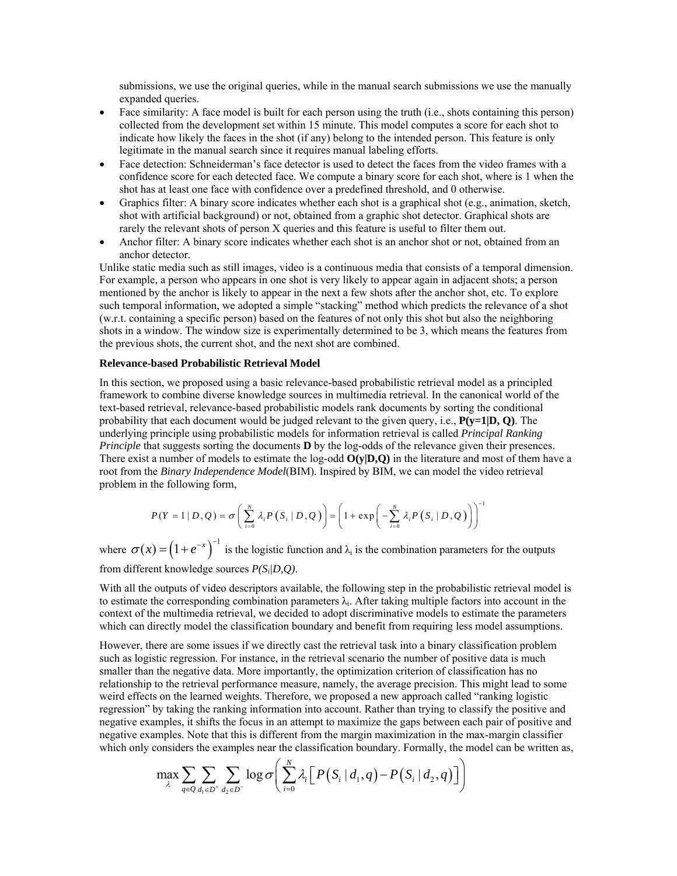submissions, we use the original queries, while in the manual search submissions we use the manually expanded queries.

- Face similarity: A face model is built for each person using the truth (i.e., shots containing this person) collected from the development set within 15 minute. This model computes a score for each shot to indicate how likely the faces in the shot (if any) belong to the intended person. This feature is only legitimate in the manual search since it requires manual labeling efforts.
- Face detection: Schneiderman's face detector is used to detect the faces from the video frames with a confidence score for each detected face. We compute a binary score for each shot, where is 1 when the shot has at least one face with confidence over a predefined threshold, and 0 otherwise.
- Graphics filter: A binary score indicates whether each shot is a graphical shot (e.g., animation, sketch, shot with artificial background) or not, obtained from a graphic shot detector. Graphical shots are rarely the relevant shots of person X queries and this feature is useful to filter them out.
- Anchor filter: A binary score indicates whether each shot is an anchor shot or not, obtained from an anchor detector.

Unlike static media such as still images, video is a continuous media that consists of a temporal dimension. For example, a person who appears in one shot is very likely to appear again in adjacent shots; a person mentioned by the anchor is likely to appear in the next a few shots after the anchor shot, etc. To explore such temporal information, we adopted a simple "stacking" method which predicts the relevance of a shot (w.r.t. containing a specific person) based on the features of not only this shot but also the neighboring shots in a window. The window size is experimentally determined to be 3, which means the features from the previous shots, the current shot, and the next shot are combined.

#### **Relevance-based Probabilistic Retrieval Model**

In this section, we proposed using a basic relevance-based probabilistic retrieval model as a principled framework to combine diverse knowledge sources in multimedia retrieval. In the canonical world of the text-based retrieval, relevance-based probabilistic models rank documents by sorting the conditional probability that each document would be judged relevant to the given query, i.e., **P(y=1|D, Q)**. The underlying principle using probabilistic models for information retrieval is called *Principal Ranking Principle* that suggests sorting the documents **D** by the log-odds of the relevance given their presences. There exist a number of models to estimate the log-odd **O(y|D,Q)** in the literature and most of them have a root from the *Binary Independence Model*(BIM). Inspired by BIM, we can model the video retrieval problem in the following form,

$$
P(Y = 1 | D, Q) = \sigma\left(\sum_{i=0}^{N} \lambda_{i} P(S_{i} | D, Q)\right) = \left(1 + \exp\left(-\sum_{i=0}^{N} \lambda_{i} P(S_{i} | D, Q)\right)\right)^{-1}
$$

where  $\sigma(x) = (1 + e^{-x})^{-1}$  is the logistic function and  $\lambda_i$  is the combination parameters for the outputs from different knowledge sources *P(Si|D,Q)*.

With all the outputs of video descriptors available, the following step in the probabilistic retrieval model is to estimate the corresponding combination parameters  $\lambda_i$ . After taking multiple factors into account in the context of the multimedia retrieval, we decided to adopt discriminative models to estimate the parameters which can directly model the classification boundary and benefit from requiring less model assumptions.

However, there are some issues if we directly cast the retrieval task into a binary classification problem such as logistic regression. For instance, in the retrieval scenario the number of positive data is much smaller than the negative data. More importantly, the optimization criterion of classification has no relationship to the retrieval performance measure, namely, the average precision. This might lead to some weird effects on the learned weights. Therefore, we proposed a new approach called "ranking logistic regression" by taking the ranking information into account. Rather than trying to classify the positive and negative examples, it shifts the focus in an attempt to maximize the gaps between each pair of positive and negative examples. Note that this is different from the margin maximization in the max-margin classifier which only considers the examples near the classification boundary. Formally, the model can be written as,

$$
\max_{\lambda} \sum_{q \in \mathcal{Q}} \sum_{d_1 \in D^+} \sum_{d_2 \in D^-} \log \sigma \bigg( \sum_{i=0}^N \lambda_i \Big[ \big\vert P\big(S_i \,\vert\, d_1, q\big) - P\big(S_i \,\vert\, d_2, q\big) \Big] \bigg)
$$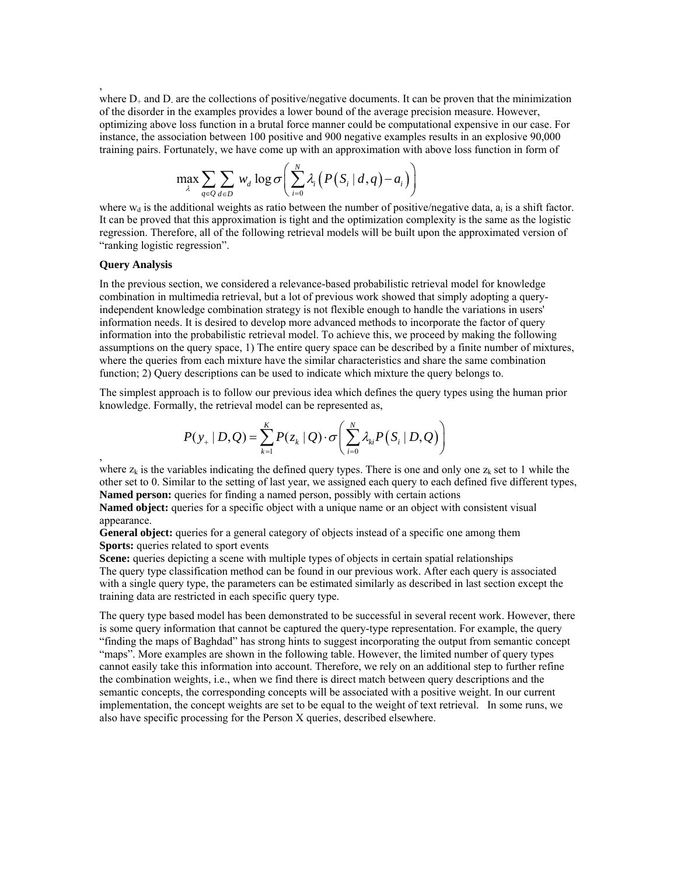where  $D_{+}$  and  $D_{-}$  are the collections of positive/negative documents. It can be proven that the minimization of the disorder in the examples provides a lower bound of the average precision measure. However, optimizing above loss function in a brutal force manner could be computational expensive in our case. For instance, the association between 100 positive and 900 negative examples results in an explosive 90,000 training pairs. Fortunately, we have come up with an approximation with above loss function in form of

$$
\max_{\lambda} \sum_{q \in Q} \sum_{d \in D} w_d \log \sigma \bigg( \sum_{i=0}^N \lambda_i \big( P\big(S_i \mid d, q\big) - a_i \big) \bigg)
$$

where  $w_d$  is the additional weights as ratio between the number of positive/negative data,  $a_i$  is a shift factor. It can be proved that this approximation is tight and the optimization complexity is the same as the logistic regression. Therefore, all of the following retrieval models will be built upon the approximated version of "ranking logistic regression".

#### **Query Analysis**

,

,

In the previous section, we considered a relevance-based probabilistic retrieval model for knowledge combination in multimedia retrieval, but a lot of previous work showed that simply adopting a queryindependent knowledge combination strategy is not flexible enough to handle the variations in users' information needs. It is desired to develop more advanced methods to incorporate the factor of query information into the probabilistic retrieval model. To achieve this, we proceed by making the following assumptions on the query space, 1) The entire query space can be described by a finite number of mixtures, where the queries from each mixture have the similar characteristics and share the same combination function; 2) Query descriptions can be used to indicate which mixture the query belongs to.

The simplest approach is to follow our previous idea which defines the query types using the human prior knowledge. Formally, the retrieval model can be represented as,

$$
P(y_+ | D, Q) = \sum_{k=1}^K P(z_k | Q) \cdot \sigma\left(\sum_{i=0}^N \lambda_{ki} P(S_i | D, Q)\right)
$$

where  $z_k$  is the variables indicating the defined query types. There is one and only one  $z_k$  set to 1 while the other set to 0. Similar to the setting of last year, we assigned each query to each defined five different types, **Named person:** queries for finding a named person, possibly with certain actions

**Named object:** queries for a specific object with a unique name or an object with consistent visual appearance.

**General object:** queries for a general category of objects instead of a specific one among them **Sports:** queries related to sport events

**Scene:** queries depicting a scene with multiple types of objects in certain spatial relationships The query type classification method can be found in our previous work. After each query is associated with a single query type, the parameters can be estimated similarly as described in last section except the training data are restricted in each specific query type.

The query type based model has been demonstrated to be successful in several recent work. However, there is some query information that cannot be captured the query-type representation. For example, the query "finding the maps of Baghdad" has strong hints to suggest incorporating the output from semantic concept "maps". More examples are shown in the following table. However, the limited number of query types cannot easily take this information into account. Therefore, we rely on an additional step to further refine the combination weights, i.e., when we find there is direct match between query descriptions and the semantic concepts, the corresponding concepts will be associated with a positive weight. In our current implementation, the concept weights are set to be equal to the weight of text retrieval. In some runs, we also have specific processing for the Person X queries, described elsewhere.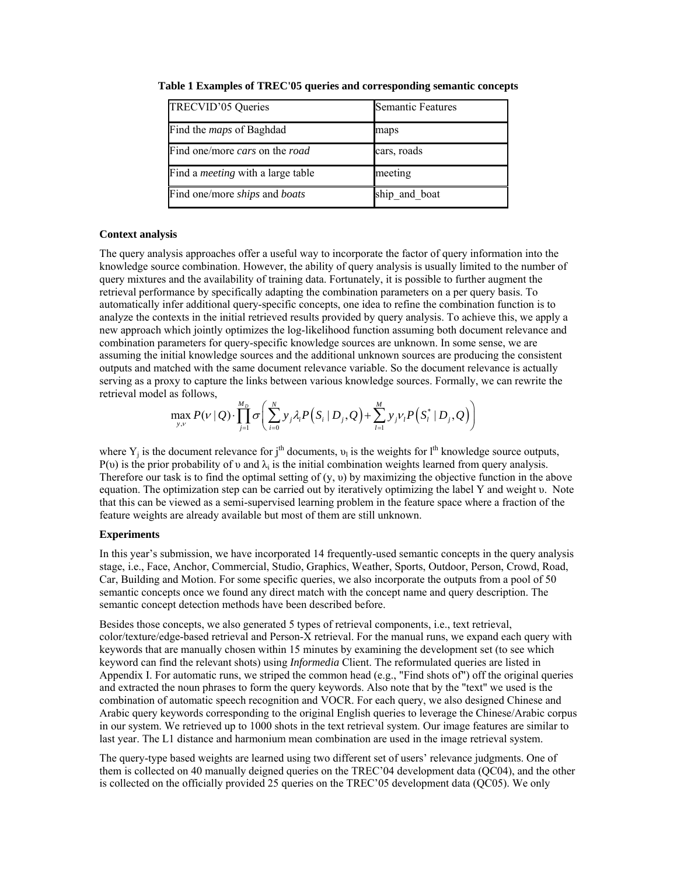| TRECVID'05 Queries                       | <b>Semantic Features</b> |
|------------------------------------------|--------------------------|
| Find the <i>maps</i> of Baghdad          | maps                     |
| Find one/more cars on the road           | cars, roads              |
| Find a <i>meeting</i> with a large table | meeting                  |
| Find one/more ships and boats            | ship_and_boat            |

**Table 1 Examples of TREC'05 queries and corresponding semantic concepts** 

#### **Context analysis**

The query analysis approaches offer a useful way to incorporate the factor of query information into the knowledge source combination. However, the ability of query analysis is usually limited to the number of query mixtures and the availability of training data. Fortunately, it is possible to further augment the retrieval performance by specifically adapting the combination parameters on a per query basis. To automatically infer additional query-specific concepts, one idea to refine the combination function is to analyze the contexts in the initial retrieved results provided by query analysis. To achieve this, we apply a new approach which jointly optimizes the log-likelihood function assuming both document relevance and combination parameters for query-specific knowledge sources are unknown. In some sense, we are assuming the initial knowledge sources and the additional unknown sources are producing the consistent outputs and matched with the same document relevance variable. So the document relevance is actually serving as a proxy to capture the links between various knowledge sources. Formally, we can rewrite the retrieval model as follows,

$$
\max_{y,\nu} P(\nu \mid Q) \cdot \prod_{j=1}^{M_D} \sigma \bigg( \sum_{i=0}^N y_i \lambda_i P(S_i \mid D_j, Q) + \sum_{l=1}^M y_j \nu_l P(S_l^* \mid D_j, Q) \bigg)
$$

where  $Y_i$  is the document relevance for j<sup>th</sup> documents,  $v_i$  is the weights for l<sup>th</sup> knowledge source outputs, P(v) is the prior probability of v and  $\lambda_i$  is the initial combination weights learned from query analysis. Therefore our task is to find the optimal setting of (y, υ) by maximizing the objective function in the above equation. The optimization step can be carried out by iteratively optimizing the label Y and weight υ. Note that this can be viewed as a semi-supervised learning problem in the feature space where a fraction of the feature weights are already available but most of them are still unknown.

#### **Experiments**

In this year's submission, we have incorporated 14 frequently-used semantic concepts in the query analysis stage, i.e., Face, Anchor, Commercial, Studio, Graphics, Weather, Sports, Outdoor, Person, Crowd, Road, Car, Building and Motion. For some specific queries, we also incorporate the outputs from a pool of 50 semantic concepts once we found any direct match with the concept name and query description. The semantic concept detection methods have been described before.

Besides those concepts, we also generated 5 types of retrieval components, i.e., text retrieval, color/texture/edge-based retrieval and Person-X retrieval. For the manual runs, we expand each query with keywords that are manually chosen within 15 minutes by examining the development set (to see which keyword can find the relevant shots) using *Informedia* Client. The reformulated queries are listed in Appendix I. For automatic runs, we striped the common head (e.g., "Find shots of") off the original queries and extracted the noun phrases to form the query keywords. Also note that by the "text" we used is the combination of automatic speech recognition and VOCR. For each query, we also designed Chinese and Arabic query keywords corresponding to the original English queries to leverage the Chinese/Arabic corpus in our system. We retrieved up to 1000 shots in the text retrieval system. Our image features are similar to last year. The L1 distance and harmonium mean combination are used in the image retrieval system.

The query-type based weights are learned using two different set of users' relevance judgments. One of them is collected on 40 manually deigned queries on the TREC'04 development data (QC04), and the other is collected on the officially provided 25 queries on the TREC'05 development data (QC05). We only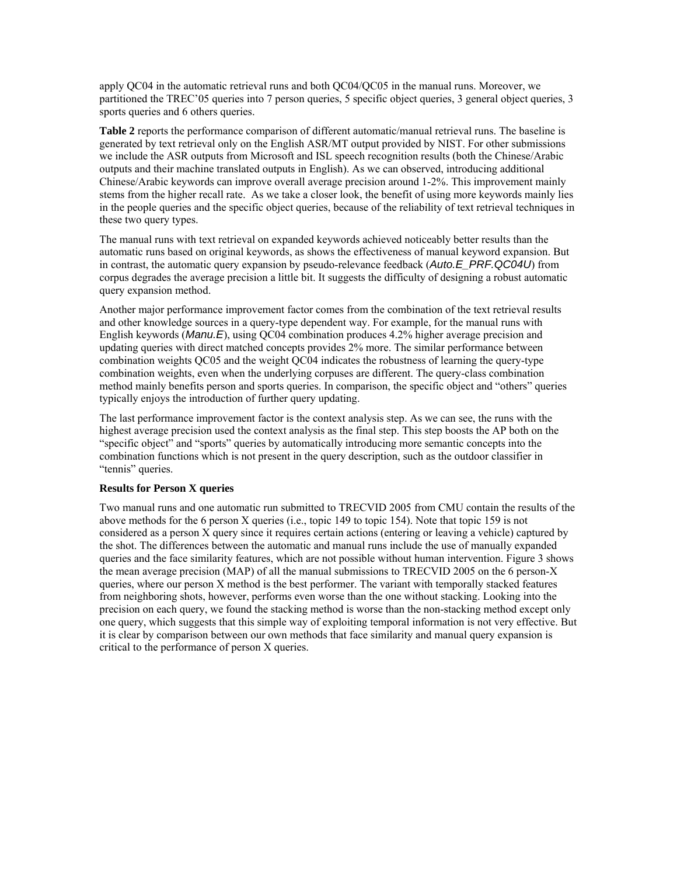apply QC04 in the automatic retrieval runs and both QC04/QC05 in the manual runs. Moreover, we partitioned the TREC'05 queries into 7 person queries, 5 specific object queries, 3 general object queries, 3 sports queries and 6 others queries.

**Table 2** reports the performance comparison of different automatic/manual retrieval runs. The baseline is generated by text retrieval only on the English ASR/MT output provided by NIST. For other submissions we include the ASR outputs from Microsoft and ISL speech recognition results (both the Chinese/Arabic outputs and their machine translated outputs in English). As we can observed, introducing additional Chinese/Arabic keywords can improve overall average precision around 1-2%. This improvement mainly stems from the higher recall rate. As we take a closer look, the benefit of using more keywords mainly lies in the people queries and the specific object queries, because of the reliability of text retrieval techniques in these two query types.

The manual runs with text retrieval on expanded keywords achieved noticeably better results than the automatic runs based on original keywords, as shows the effectiveness of manual keyword expansion. But in contrast, the automatic query expansion by pseudo-relevance feedback (*Auto.E\_PRF.QC04U*) from corpus degrades the average precision a little bit. It suggests the difficulty of designing a robust automatic query expansion method.

Another major performance improvement factor comes from the combination of the text retrieval results and other knowledge sources in a query-type dependent way. For example, for the manual runs with English keywords (*Manu.E*), using QC04 combination produces 4.2% higher average precision and updating queries with direct matched concepts provides 2% more. The similar performance between combination weights QC05 and the weight QC04 indicates the robustness of learning the query-type combination weights, even when the underlying corpuses are different. The query-class combination method mainly benefits person and sports queries. In comparison, the specific object and "others" queries typically enjoys the introduction of further query updating.

The last performance improvement factor is the context analysis step. As we can see, the runs with the highest average precision used the context analysis as the final step. This step boosts the AP both on the "specific object" and "sports" queries by automatically introducing more semantic concepts into the combination functions which is not present in the query description, such as the outdoor classifier in "tennis" queries.

#### **Results for Person X queries**

Two manual runs and one automatic run submitted to TRECVID 2005 from CMU contain the results of the above methods for the 6 person X queries (i.e., topic 149 to topic 154). Note that topic 159 is not considered as a person X query since it requires certain actions (entering or leaving a vehicle) captured by the shot. The differences between the automatic and manual runs include the use of manually expanded queries and the face similarity features, which are not possible without human intervention. Figure 3 shows the mean average precision (MAP) of all the manual submissions to TRECVID 2005 on the 6 person-X queries, where our person X method is the best performer. The variant with temporally stacked features from neighboring shots, however, performs even worse than the one without stacking. Looking into the precision on each query, we found the stacking method is worse than the non-stacking method except only one query, which suggests that this simple way of exploiting temporal information is not very effective. But it is clear by comparison between our own methods that face similarity and manual query expansion is critical to the performance of person X queries.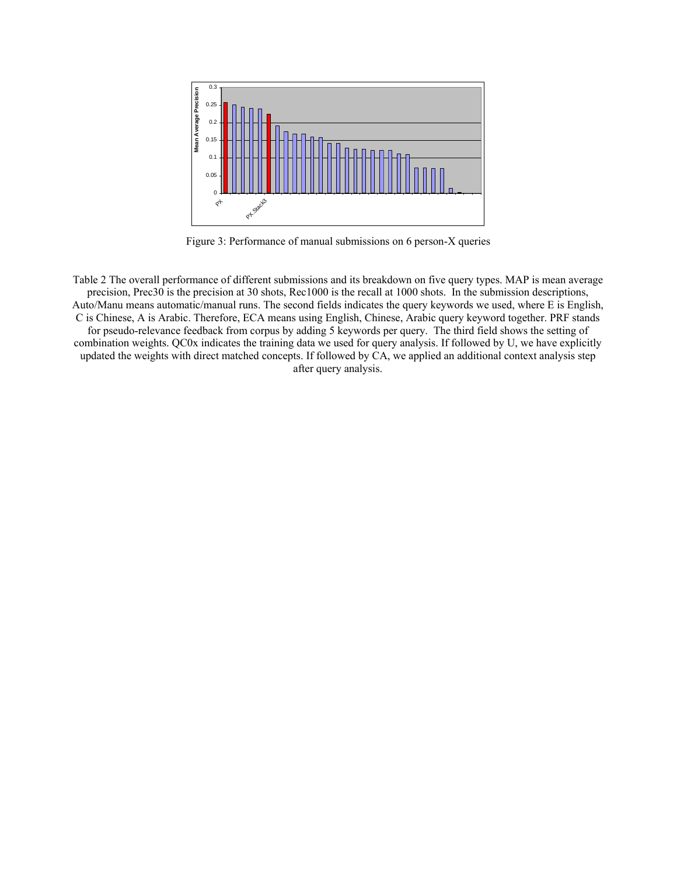

Figure 3: Performance of manual submissions on 6 person-X queries

Table 2 The overall performance of different submissions and its breakdown on five query types. MAP is mean average precision, Prec30 is the precision at 30 shots, Rec1000 is the recall at 1000 shots. In the submission descriptions, Auto/Manu means automatic/manual runs. The second fields indicates the query keywords we used, where E is English, C is Chinese, A is Arabic. Therefore, ECA means using English, Chinese, Arabic query keyword together. PRF stands for pseudo-relevance feedback from corpus by adding 5 keywords per query. The third field shows the setting of combination weights. QC0x indicates the training data we used for query analysis. If followed by U, we have explicitly updated the weights with direct matched concepts. If followed by CA, we applied an additional context analysis step after query analysis.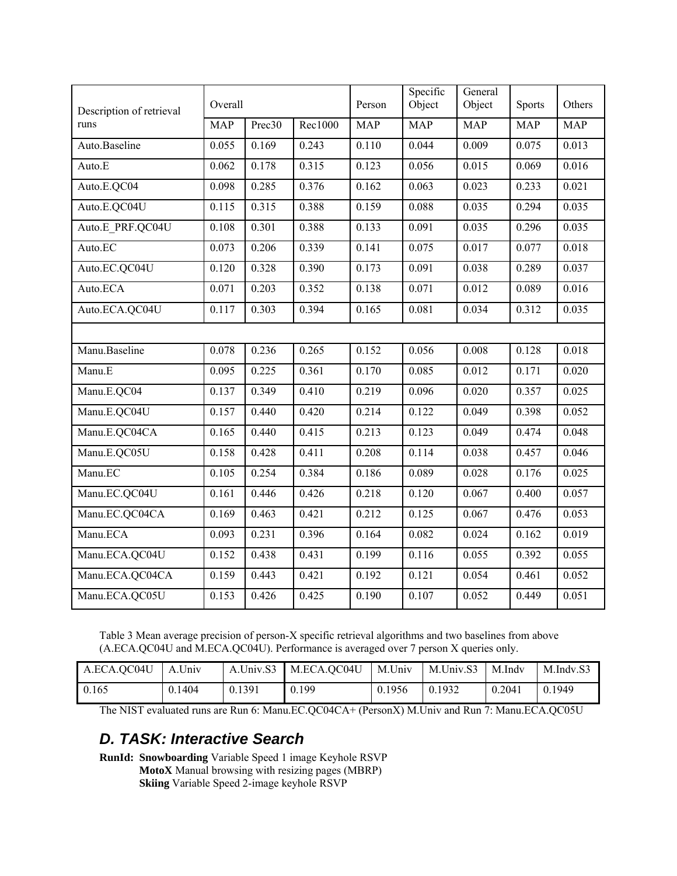| Description of retrieval | Overall    |        |         | Person     | Specific<br>Object | General<br>Object | <b>Sports</b> | Others     |
|--------------------------|------------|--------|---------|------------|--------------------|-------------------|---------------|------------|
| runs                     | <b>MAP</b> | Prec30 | Rec1000 | <b>MAP</b> | <b>MAP</b>         | <b>MAP</b>        | <b>MAP</b>    | <b>MAP</b> |
| Auto.Baseline            | 0.055      | 0.169  | 0.243   | 0.110      | 0.044              | 0.009             | 0.075         | 0.013      |
| Auto.E                   | 0.062      | 0.178  | 0.315   | 0.123      | 0.056              | 0.015             | 0.069         | 0.016      |
| Auto.E.QC04              | 0.098      | 0.285  | 0.376   | 0.162      | 0.063              | 0.023             | 0.233         | 0.021      |
| Auto.E.QC04U             | 0.115      | 0.315  | 0.388   | 0.159      | 0.088              | 0.035             | 0.294         | 0.035      |
| Auto.E PRF.QC04U         | 0.108      | 0.301  | 0.388   | 0.133      | 0.091              | 0.035             | 0.296         | 0.035      |
| Auto.EC                  | 0.073      | 0.206  | 0.339   | 0.141      | 0.075              | 0.017             | 0.077         | 0.018      |
| Auto.EC.QC04U            | 0.120      | 0.328  | 0.390   | 0.173      | 0.091              | 0.038             | 0.289         | 0.037      |
| Auto.ECA                 | 0.071      | 0.203  | 0.352   | 0.138      | 0.071              | 0.012             | 0.089         | 0.016      |
| Auto.ECA.QC04U           | 0.117      | 0.303  | 0.394   | 0.165      | 0.081              | 0.034             | 0.312         | 0.035      |
|                          |            |        |         |            |                    |                   |               |            |
| Manu.Baseline            | 0.078      | 0.236  | 0.265   | 0.152      | 0.056              | 0.008             | 0.128         | 0.018      |
| Manu.E                   | 0.095      | 0.225  | 0.361   | 0.170      | 0.085              | 0.012             | 0.171         | 0.020      |
| Manu.E.QC04              | 0.137      | 0.349  | 0.410   | 0.219      | 0.096              | 0.020             | 0.357         | 0.025      |
| Manu.E.QC04U             | 0.157      | 0.440  | 0.420   | 0.214      | 0.122              | 0.049             | 0.398         | 0.052      |
| Manu.E.QC04CA            | 0.165      | 0.440  | 0.415   | 0.213      | 0.123              | 0.049             | 0.474         | 0.048      |
| Manu.E.QC05U             | 0.158      | 0.428  | 0.411   | 0.208      | 0.114              | 0.038             | 0.457         | 0.046      |
| Manu.EC                  | 0.105      | 0.254  | 0.384   | 0.186      | 0.089              | 0.028             | 0.176         | 0.025      |
| Manu.EC.QC04U            | 0.161      | 0.446  | 0.426   | 0.218      | 0.120              | 0.067             | 0.400         | 0.057      |
| Manu.EC.QC04CA           | 0.169      | 0.463  | 0.421   | 0.212      | 0.125              | 0.067             | 0.476         | 0.053      |
| Manu.ECA                 | 0.093      | 0.231  | 0.396   | 0.164      | 0.082              | 0.024             | 0.162         | 0.019      |
| Manu.ECA.QC04U           | 0.152      | 0.438  | 0.431   | 0.199      | 0.116              | 0.055             | 0.392         | 0.055      |
| Manu.ECA.QC04CA          | 0.159      | 0.443  | 0.421   | 0.192      | 0.121              | 0.054             | 0.461         | 0.052      |
| Manu.ECA.QC05U           | 0.153      | 0.426  | 0.425   | 0.190      | 0.107              | 0.052             | 0.449         | 0.051      |

Table 3 Mean average precision of person-X specific retrieval algorithms and two baselines from above (A.ECA.QC04U and M.ECA.QC04U). Performance is averaged over 7 person X queries only.

| A.ECA.QC04U | A.Univ | A.Univ.S3 | M.ECA.QC04U | M.Univ | M.Univ.S3 | M.Indv | M.Indv.S3 |
|-------------|--------|-----------|-------------|--------|-----------|--------|-----------|
| 0.165       | 0.1404 | 0.1391    | 0.199       | 0.1956 | 0.1932    | 0.2041 | 0.1949    |

The NIST evaluated runs are Run 6: Manu.EC.QC04CA+ (PersonX) M.Univ and Run 7: Manu.ECA.QC05U

## *D. TASK: Interactive Search*

**RunId: Snowboarding** Variable Speed 1 image Keyhole RSVP **MotoX** Manual browsing with resizing pages (MBRP) **Skiing** Variable Speed 2-image keyhole RSVP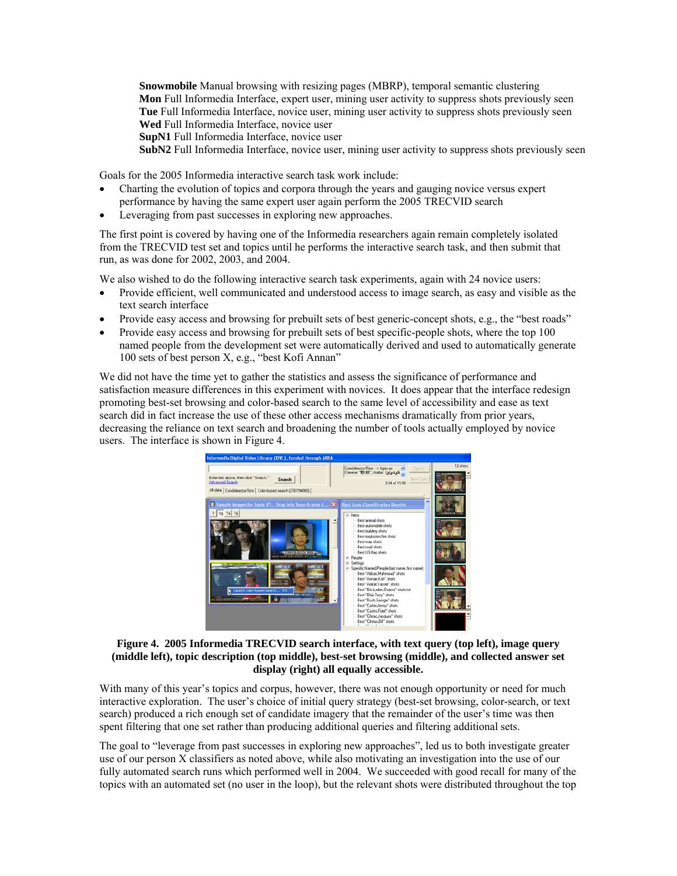**Snowmobile** Manual browsing with resizing pages (MBRP), temporal semantic clustering **Mon** Full Informedia Interface, expert user, mining user activity to suppress shots previously seen **Tue** Full Informedia Interface, novice user, mining user activity to suppress shots previously seen **Wed** Full Informedia Interface, novice user

**SupN1** Full Informedia Interface, novice user

**SubN2** Full Informedia Interface, novice user, mining user activity to suppress shots previously seen

Goals for the 2005 Informedia interactive search task work include:

- Charting the evolution of topics and corpora through the years and gauging novice versus expert performance by having the same expert user again perform the 2005 TRECVID search
- Leveraging from past successes in exploring new approaches.

The first point is covered by having one of the Informedia researchers again remain completely isolated from the TRECVID test set and topics until he performs the interactive search task, and then submit that run, as was done for 2002, 2003, and 2004.

We also wished to do the following interactive search task experiments, again with 24 novice users:

- Provide efficient, well communicated and understood access to image search, as easy and visible as the text search interface
- Provide easy access and browsing for prebuilt sets of best generic-concept shots, e.g., the "best roads"
- Provide easy access and browsing for prebuilt sets of best specific-people shots, where the top 100 named people from the development set were automatically derived and used to automatically generate 100 sets of best person X, e.g., "best Kofi Annan"

We did not have the time yet to gather the statistics and assess the significance of performance and satisfaction measure differences in this experiment with novices. It does appear that the interface redesign promoting best-set browsing and color-based search to the same level of accessibility and ease as text search did in fact increase the use of these other access mechanisms dramatically from prior years, decreasing the reliance on text search and broadening the number of tools actually employed by novice users. The interface is shown in Figure 4.



#### **Figure 4. 2005 Informedia TRECVID search interface, with text query (top left), image query (middle left), topic description (top middle), best-set browsing (middle), and collected answer set display (right) all equally accessible.**

With many of this year's topics and corpus, however, there was not enough opportunity or need for much interactive exploration. The user's choice of initial query strategy (best-set browsing, color-search, or text search) produced a rich enough set of candidate imagery that the remainder of the user's time was then spent filtering that one set rather than producing additional queries and filtering additional sets.

The goal to "leverage from past successes in exploring new approaches", led us to both investigate greater use of our person X classifiers as noted above, while also motivating an investigation into the use of our fully automated search runs which performed well in 2004. We succeeded with good recall for many of the topics with an automated set (no user in the loop), but the relevant shots were distributed throughout the top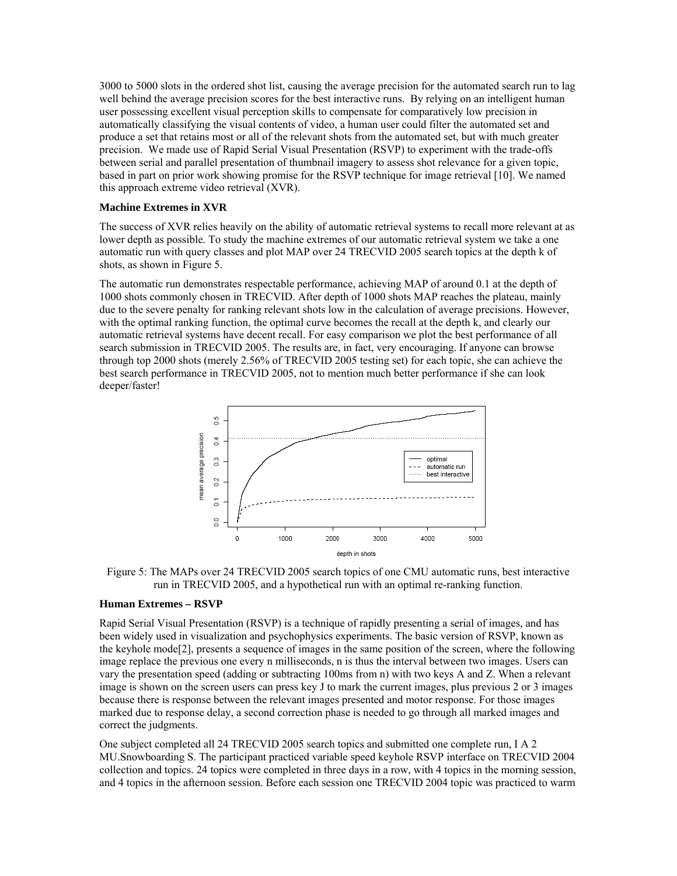3000 to 5000 slots in the ordered shot list, causing the average precision for the automated search run to lag well behind the average precision scores for the best interactive runs. By relying on an intelligent human user possessing excellent visual perception skills to compensate for comparatively low precision in automatically classifying the visual contents of video, a human user could filter the automated set and produce a set that retains most or all of the relevant shots from the automated set, but with much greater precision. We made use of Rapid Serial Visual Presentation (RSVP) to experiment with the trade-offs between serial and parallel presentation of thumbnail imagery to assess shot relevance for a given topic, based in part on prior work showing promise for the RSVP technique for image retrieval [10]. We named this approach extreme video retrieval (XVR).

#### **Machine Extremes in XVR**

The success of XVR relies heavily on the ability of automatic retrieval systems to recall more relevant at as lower depth as possible. To study the machine extremes of our automatic retrieval system we take a one automatic run with query classes and plot MAP over 24 TRECVID 2005 search topics at the depth k of shots, as shown in Figure 5.

The automatic run demonstrates respectable performance, achieving MAP of around 0.1 at the depth of 1000 shots commonly chosen in TRECVID. After depth of 1000 shots MAP reaches the plateau, mainly due to the severe penalty for ranking relevant shots low in the calculation of average precisions. However, with the optimal ranking function, the optimal curve becomes the recall at the depth k, and clearly our automatic retrieval systems have decent recall. For easy comparison we plot the best performance of all search submission in TRECVID 2005. The results are, in fact, very encouraging. If anyone can browse through top 2000 shots (merely 2.56% of TRECVID 2005 testing set) for each topic, she can achieve the best search performance in TRECVID 2005, not to mention much better performance if she can look deeper/faster!



Figure 5: The MAPs over 24 TRECVID 2005 search topics of one CMU automatic runs, best interactive run in TRECVID 2005, and a hypothetical run with an optimal re-ranking function.

#### **Human Extremes – RSVP**

Rapid Serial Visual Presentation (RSVP) is a technique of rapidly presenting a serial of images, and has been widely used in visualization and psychophysics experiments. The basic version of RSVP, known as the keyhole mode[2], presents a sequence of images in the same position of the screen, where the following image replace the previous one every n milliseconds, n is thus the interval between two images. Users can vary the presentation speed (adding or subtracting 100ms from n) with two keys A and Z. When a relevant image is shown on the screen users can press key J to mark the current images, plus previous 2 or 3 images because there is response between the relevant images presented and motor response. For those images marked due to response delay, a second correction phase is needed to go through all marked images and correct the judgments.

One subject completed all 24 TRECVID 2005 search topics and submitted one complete run, I A 2 MU.Snowboarding S. The participant practiced variable speed keyhole RSVP interface on TRECVID 2004 collection and topics. 24 topics were completed in three days in a row, with 4 topics in the morning session, and 4 topics in the afternoon session. Before each session one TRECVID 2004 topic was practiced to warm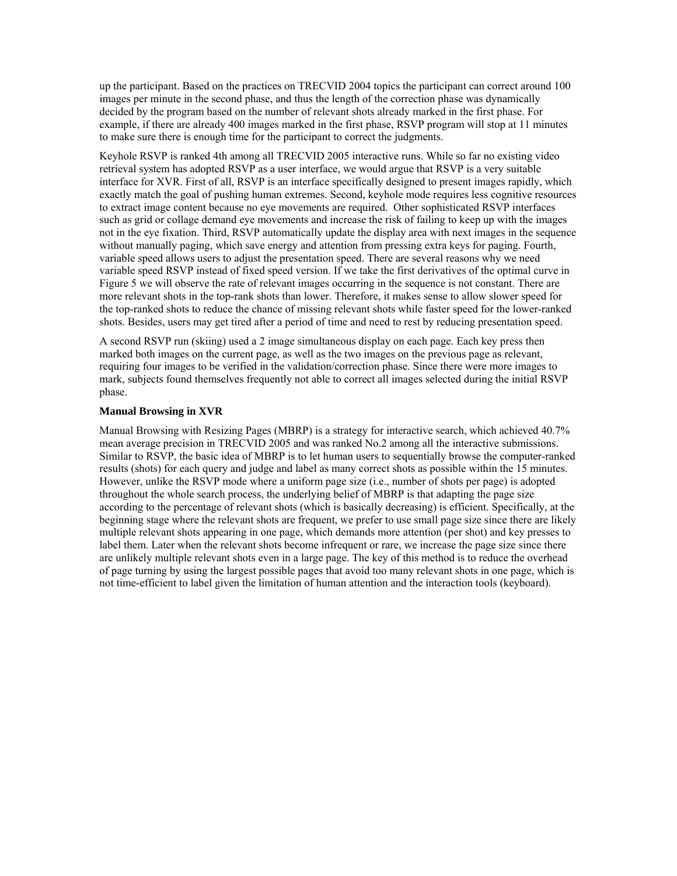up the participant. Based on the practices on TRECVID 2004 topics the participant can correct around 100 images per minute in the second phase, and thus the length of the correction phase was dynamically decided by the program based on the number of relevant shots already marked in the first phase. For example, if there are already 400 images marked in the first phase, RSVP program will stop at 11 minutes to make sure there is enough time for the participant to correct the judgments.

Keyhole RSVP is ranked 4th among all TRECVID 2005 interactive runs. While so far no existing video retrieval system has adopted RSVP as a user interface, we would argue that RSVP is a very suitable interface for XVR. First of all, RSVP is an interface specifically designed to present images rapidly, which exactly match the goal of pushing human extremes. Second, keyhole mode requires less cognitive resources to extract image content because no eye movements are required. Other sophisticated RSVP interfaces such as grid or collage demand eye movements and increase the risk of failing to keep up with the images not in the eye fixation. Third, RSVP automatically update the display area with next images in the sequence without manually paging, which save energy and attention from pressing extra keys for paging. Fourth, variable speed allows users to adjust the presentation speed. There are several reasons why we need variable speed RSVP instead of fixed speed version. If we take the first derivatives of the optimal curve in Figure 5 we will observe the rate of relevant images occurring in the sequence is not constant. There are more relevant shots in the top-rank shots than lower. Therefore, it makes sense to allow slower speed for the top-ranked shots to reduce the chance of missing relevant shots while faster speed for the lower-ranked shots. Besides, users may get tired after a period of time and need to rest by reducing presentation speed.

A second RSVP run (skiing) used a 2 image simultaneous display on each page. Each key press then marked both images on the current page, as well as the two images on the previous page as relevant, requiring four images to be verified in the validation/correction phase. Since there were more images to mark, subjects found themselves frequently not able to correct all images selected during the initial RSVP phase.

#### **Manual Browsing in XVR**

Manual Browsing with Resizing Pages (MBRP) is a strategy for interactive search, which achieved 40.7% mean average precision in TRECVID 2005 and was ranked No.2 among all the interactive submissions. Similar to RSVP, the basic idea of MBRP is to let human users to sequentially browse the computer-ranked results (shots) for each query and judge and label as many correct shots as possible within the 15 minutes. However, unlike the RSVP mode where a uniform page size (i.e., number of shots per page) is adopted throughout the whole search process, the underlying belief of MBRP is that adapting the page size according to the percentage of relevant shots (which is basically decreasing) is efficient. Specifically, at the beginning stage where the relevant shots are frequent, we prefer to use small page size since there are likely multiple relevant shots appearing in one page, which demands more attention (per shot) and key presses to label them. Later when the relevant shots become infrequent or rare, we increase the page size since there are unlikely multiple relevant shots even in a large page. The key of this method is to reduce the overhead of page turning by using the largest possible pages that avoid too many relevant shots in one page, which is not time-efficient to label given the limitation of human attention and the interaction tools (keyboard).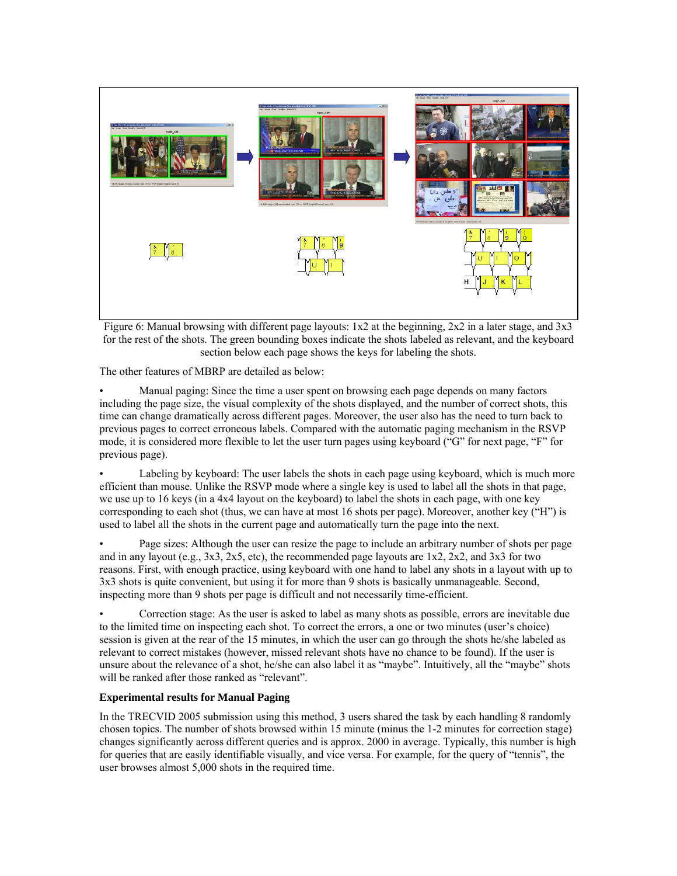

Figure 6: Manual browsing with different page layouts:  $1x2$  at the beginning,  $2x2$  in a later stage, and  $3x3$ for the rest of the shots. The green bounding boxes indicate the shots labeled as relevant, and the keyboard section below each page shows the keys for labeling the shots.

The other features of MBRP are detailed as below:

• Manual paging: Since the time a user spent on browsing each page depends on many factors including the page size, the visual complexity of the shots displayed, and the number of correct shots, this time can change dramatically across different pages. Moreover, the user also has the need to turn back to previous pages to correct erroneous labels. Compared with the automatic paging mechanism in the RSVP mode, it is considered more flexible to let the user turn pages using keyboard ("G" for next page, "F" for previous page).

Labeling by keyboard: The user labels the shots in each page using keyboard, which is much more efficient than mouse. Unlike the RSVP mode where a single key is used to label all the shots in that page, we use up to 16 keys (in a 4x4 layout on the keyboard) to label the shots in each page, with one key corresponding to each shot (thus, we can have at most 16 shots per page). Moreover, another key ("H") is used to label all the shots in the current page and automatically turn the page into the next.

• Page sizes: Although the user can resize the page to include an arbitrary number of shots per page and in any layout (e.g.,  $3x3$ ,  $2x5$ , etc), the recommended page layouts are  $1x2$ ,  $2x2$ , and  $3x3$  for two reasons. First, with enough practice, using keyboard with one hand to label any shots in a layout with up to 3x3 shots is quite convenient, but using it for more than 9 shots is basically unmanageable. Second, inspecting more than 9 shots per page is difficult and not necessarily time-efficient.

• Correction stage: As the user is asked to label as many shots as possible, errors are inevitable due to the limited time on inspecting each shot. To correct the errors, a one or two minutes (user's choice) session is given at the rear of the 15 minutes, in which the user can go through the shots he/she labeled as relevant to correct mistakes (however, missed relevant shots have no chance to be found). If the user is unsure about the relevance of a shot, he/she can also label it as "maybe". Intuitively, all the "maybe" shots will be ranked after those ranked as "relevant".

### **Experimental results for Manual Paging**

In the TRECVID 2005 submission using this method, 3 users shared the task by each handling 8 randomly chosen topics. The number of shots browsed within 15 minute (minus the 1-2 minutes for correction stage) changes significantly across different queries and is approx. 2000 in average. Typically, this number is high for queries that are easily identifiable visually, and vice versa. For example, for the query of "tennis", the user browses almost 5,000 shots in the required time.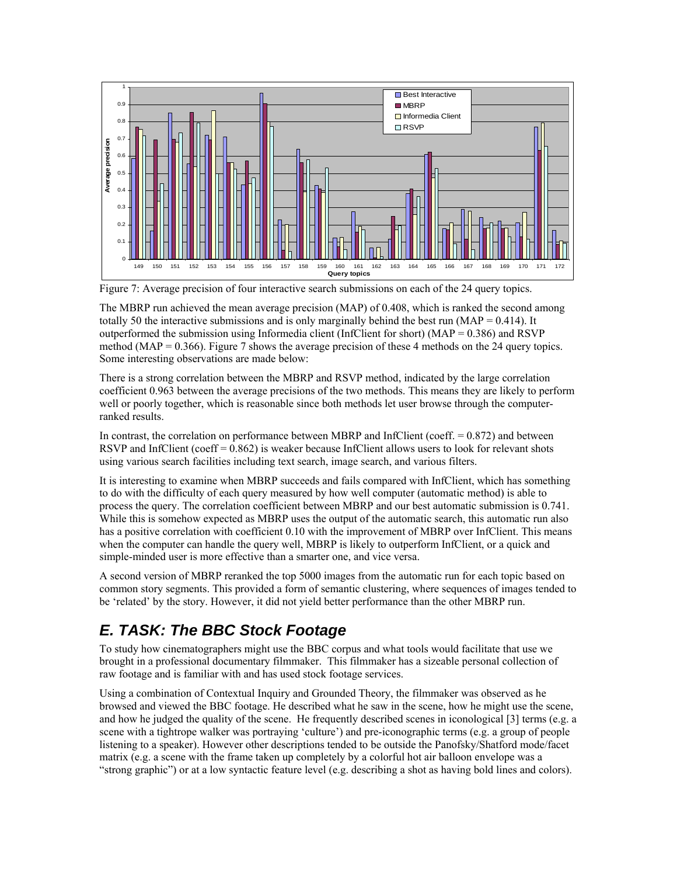

Figure 7: Average precision of four interactive search submissions on each of the 24 query topics.

The MBRP run achieved the mean average precision (MAP) of 0.408, which is ranked the second among totally 50 the interactive submissions and is only marginally behind the best run (MAP =  $0.414$ ). It outperformed the submission using Informedia client (InfClient for short) ( $MAP = 0.386$ ) and RSVP method (MAP =  $0.366$ ). Figure 7 shows the average precision of these 4 methods on the 24 query topics. Some interesting observations are made below:

There is a strong correlation between the MBRP and RSVP method, indicated by the large correlation coefficient 0.963 between the average precisions of the two methods. This means they are likely to perform well or poorly together, which is reasonable since both methods let user browse through the computerranked results.

In contrast, the correlation on performance between MBRP and InfClient (coeff.  $= 0.872$ ) and between RSVP and InfClient (coeff = 0.862) is weaker because InfClient allows users to look for relevant shots using various search facilities including text search, image search, and various filters.

It is interesting to examine when MBRP succeeds and fails compared with InfClient, which has something to do with the difficulty of each query measured by how well computer (automatic method) is able to process the query. The correlation coefficient between MBRP and our best automatic submission is 0.741. While this is somehow expected as MBRP uses the output of the automatic search, this automatic run also has a positive correlation with coefficient 0.10 with the improvement of MBRP over InfClient. This means when the computer can handle the query well, MBRP is likely to outperform InfClient, or a quick and simple-minded user is more effective than a smarter one, and vice versa.

A second version of MBRP reranked the top 5000 images from the automatic run for each topic based on common story segments. This provided a form of semantic clustering, where sequences of images tended to be 'related' by the story. However, it did not yield better performance than the other MBRP run.

## *E. TASK: The BBC Stock Footage*

To study how cinematographers might use the BBC corpus and what tools would facilitate that use we brought in a professional documentary filmmaker. This filmmaker has a sizeable personal collection of raw footage and is familiar with and has used stock footage services.

Using a combination of Contextual Inquiry and Grounded Theory, the filmmaker was observed as he browsed and viewed the BBC footage. He described what he saw in the scene, how he might use the scene, and how he judged the quality of the scene. He frequently described scenes in iconological [3] terms (e.g. a scene with a tightrope walker was portraying 'culture') and pre-iconographic terms (e.g. a group of people listening to a speaker). However other descriptions tended to be outside the Panofsky/Shatford mode/facet matrix (e.g. a scene with the frame taken up completely by a colorful hot air balloon envelope was a "strong graphic") or at a low syntactic feature level (e.g. describing a shot as having bold lines and colors).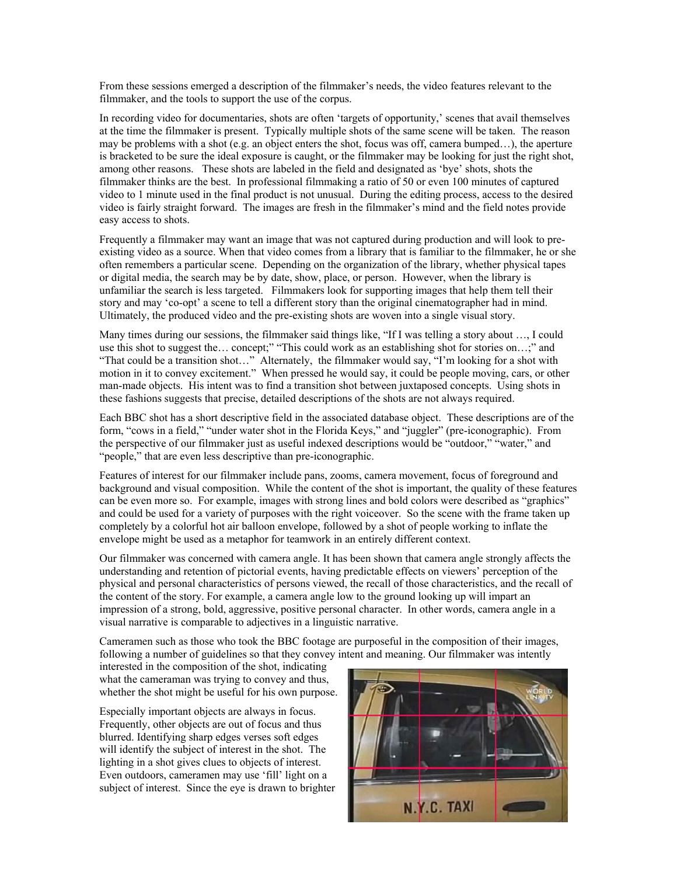From these sessions emerged a description of the filmmaker's needs, the video features relevant to the filmmaker, and the tools to support the use of the corpus.

In recording video for documentaries, shots are often 'targets of opportunity,' scenes that avail themselves at the time the filmmaker is present. Typically multiple shots of the same scene will be taken. The reason may be problems with a shot (e.g. an object enters the shot, focus was off, camera bumped...), the aperture is bracketed to be sure the ideal exposure is caught, or the filmmaker may be looking for just the right shot, among other reasons. These shots are labeled in the field and designated as 'bye' shots, shots the filmmaker thinks are the best. In professional filmmaking a ratio of 50 or even 100 minutes of captured video to 1 minute used in the final product is not unusual. During the editing process, access to the desired video is fairly straight forward. The images are fresh in the filmmaker's mind and the field notes provide easy access to shots.

Frequently a filmmaker may want an image that was not captured during production and will look to preexisting video as a source. When that video comes from a library that is familiar to the filmmaker, he or she often remembers a particular scene. Depending on the organization of the library, whether physical tapes or digital media, the search may be by date, show, place, or person. However, when the library is unfamiliar the search is less targeted. Filmmakers look for supporting images that help them tell their story and may 'co-opt' a scene to tell a different story than the original cinematographer had in mind. Ultimately, the produced video and the pre-existing shots are woven into a single visual story.

Many times during our sessions, the filmmaker said things like, "If I was telling a story about …, I could use this shot to suggest the… concept;" "This could work as an establishing shot for stories on…;" and "That could be a transition shot…" Alternately, the filmmaker would say, "I'm looking for a shot with motion in it to convey excitement." When pressed he would say, it could be people moving, cars, or other man-made objects. His intent was to find a transition shot between juxtaposed concepts. Using shots in these fashions suggests that precise, detailed descriptions of the shots are not always required.

Each BBC shot has a short descriptive field in the associated database object. These descriptions are of the form, "cows in a field," "under water shot in the Florida Keys," and "juggler" (pre-iconographic). From the perspective of our filmmaker just as useful indexed descriptions would be "outdoor," "water," and "people," that are even less descriptive than pre-iconographic.

Features of interest for our filmmaker include pans, zooms, camera movement, focus of foreground and background and visual composition. While the content of the shot is important, the quality of these features can be even more so. For example, images with strong lines and bold colors were described as "graphics" and could be used for a variety of purposes with the right voiceover. So the scene with the frame taken up completely by a colorful hot air balloon envelope, followed by a shot of people working to inflate the envelope might be used as a metaphor for teamwork in an entirely different context.

Our filmmaker was concerned with camera angle. It has been shown that camera angle strongly affects the understanding and retention of pictorial events, having predictable effects on viewers' perception of the physical and personal characteristics of persons viewed, the recall of those characteristics, and the recall of the content of the story. For example, a camera angle low to the ground looking up will impart an impression of a strong, bold, aggressive, positive personal character. In other words, camera angle in a visual narrative is comparable to adjectives in a linguistic narrative.

Cameramen such as those who took the BBC footage are purposeful in the composition of their images, following a number of guidelines so that they convey intent and meaning. Our filmmaker was intently

interested in the composition of the shot, indicating what the cameraman was trying to convey and thus, whether the shot might be useful for his own purpose.

Especially important objects are always in focus. Frequently, other objects are out of focus and thus blurred. Identifying sharp edges verses soft edges will identify the subject of interest in the shot. The lighting in a shot gives clues to objects of interest. Even outdoors, cameramen may use 'fill' light on a subject of interest. Since the eye is drawn to brighter

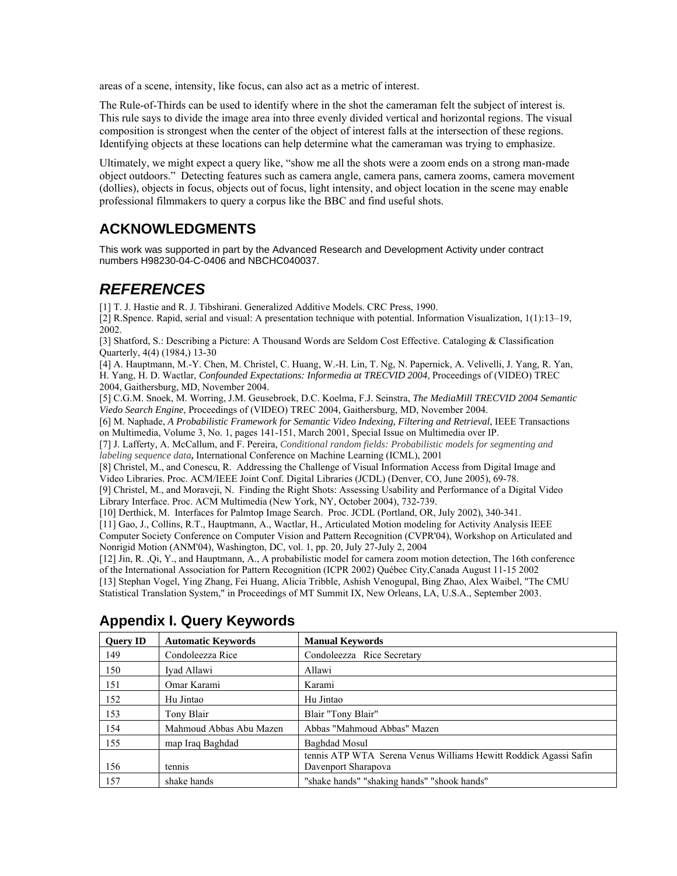areas of a scene, intensity, like focus, can also act as a metric of interest.

The Rule-of-Thirds can be used to identify where in the shot the cameraman felt the subject of interest is. This rule says to divide the image area into three evenly divided vertical and horizontal regions. The visual composition is strongest when the center of the object of interest falls at the intersection of these regions. Identifying objects at these locations can help determine what the cameraman was trying to emphasize.

Ultimately, we might expect a query like, "show me all the shots were a zoom ends on a strong man-made object outdoors." Detecting features such as camera angle, camera pans, camera zooms, camera movement (dollies), objects in focus, objects out of focus, light intensity, and object location in the scene may enable professional filmmakers to query a corpus like the BBC and find useful shots.

### **ACKNOWLEDGMENTS**

This work was supported in part by the Advanced Research and Development Activity under contract numbers H98230-04-C-0406 and NBCHC040037.

# *REFERENCES*

[1] T. J. Hastie and R. J. Tibshirani. Generalized Additive Models. CRC Press, 1990.

[2] R.Spence. Rapid, serial and visual: A presentation technique with potential. Information Visualization, 1(1):13–19, 2002.

[3] Shatford, S.: Describing a Picture: A Thousand Words are Seldom Cost Effective. Cataloging & Classification Quarterly, 4(4) (1984,) 13-30

[4] A. Hauptmann, M.-Y. Chen, M. Christel, C. Huang, W.-H. Lin, T. Ng, N. Papernick, A. Velivelli, J. Yang, R. Yan, H. Yang, H. D. Wactlar, *Confounded Expectations: Informedia at TRECVID 2004*, Proceedings of (VIDEO) TREC 2004, Gaithersburg, MD, November 2004.

[5] C.G.M. Snoek, M. Worring, J.M. Geusebroek, D.C. Koelma, F.J. Seinstra, *The MediaMill TRECVID 2004 Semantic Viedo Search Engine*, Proceedings of (VIDEO) TREC 2004, Gaithersburg, MD, November 2004.

[6] M. Naphade, *A Probabilistic Framework for Semantic Video Indexing, Filtering and Retrieval*, IEEE Transactions on Multimedia, Volume 3, No. 1, pages 141-151, March 2001, Special Issue on Multimedia over IP.

[7] J. Lafferty, A. McCallum, and F. Pereira, *Conditional random fields: Probabilistic models for segmenting and labeling sequence data***,** International Conference on Machine Learning (ICML), 2001

[8] Christel, M., and Conescu, R. Addressing the Challenge of Visual Information Access from Digital Image and Video Libraries. Proc. ACM/IEEE Joint Conf. Digital Libraries (JCDL) (Denver, CO, June 2005), 69-78.

[9] Christel, M., and Moraveji, N. Finding the Right Shots: Assessing Usability and Performance of a Digital Video Library Interface. Proc. ACM Multimedia (New York, NY, October 2004), 732-739.

[10] Derthick, M. Interfaces for Palmtop Image Search. Proc. JCDL (Portland, OR, July 2002), 340-341.

[11] Gao, J., Collins, R.T., Hauptmann, A., Wactlar, H., Articulated Motion modeling for Activity Analysis IEEE Computer Society Conference on Computer Vision and Pattern Recognition (CVPR'04), Workshop on Articulated and Nonrigid Motion (ANM'04), Washington, DC, vol. 1, pp. 20, July 27-July 2, 2004

[12] Jin, R. ,Qi, Y., and Hauptmann, A., A probabilistic model for camera zoom motion detection, The 16th conference of the International Association for Pattern Recognition (ICPR 2002) Québec City,Canada August 11-15 2002 [13] Stephan Vogel, Ying Zhang, Fei Huang, Alicia Tribble, Ashish Venogupal, Bing Zhao, Alex Waibel, "The CMU Statistical Translation System," in Proceedings of MT Summit IX, New Orleans, LA, U.S.A., September 2003.

| <b>Query ID</b> | <b>Automatic Keywords</b> | <b>Manual Keywords</b>                                           |
|-----------------|---------------------------|------------------------------------------------------------------|
| 149             | Condoleezza Rice          | Condoleezza Rice Secretary                                       |
| 150             | Ivad Allawi               | Allawi                                                           |
| 151             | Omar Karami               | Karami                                                           |
| 152             | Hu Jintao                 | Hu Jintao                                                        |
| 153             | Tony Blair                | Blair "Tony Blair"                                               |
| 154             | Mahmoud Abbas Abu Mazen   | Abbas "Mahmoud Abbas" Mazen                                      |
| 155             | map Iraq Baghdad          | Baghdad Mosul                                                    |
|                 |                           | tennis ATP WTA Serena Venus Williams Hewitt Roddick Agassi Safin |
| 156             | tennis                    | Davenport Sharapova                                              |
| 157             | shake hands               | "shake hands" "shaking hands" "shook hands"                      |

### **Appendix I. Query Keywords**